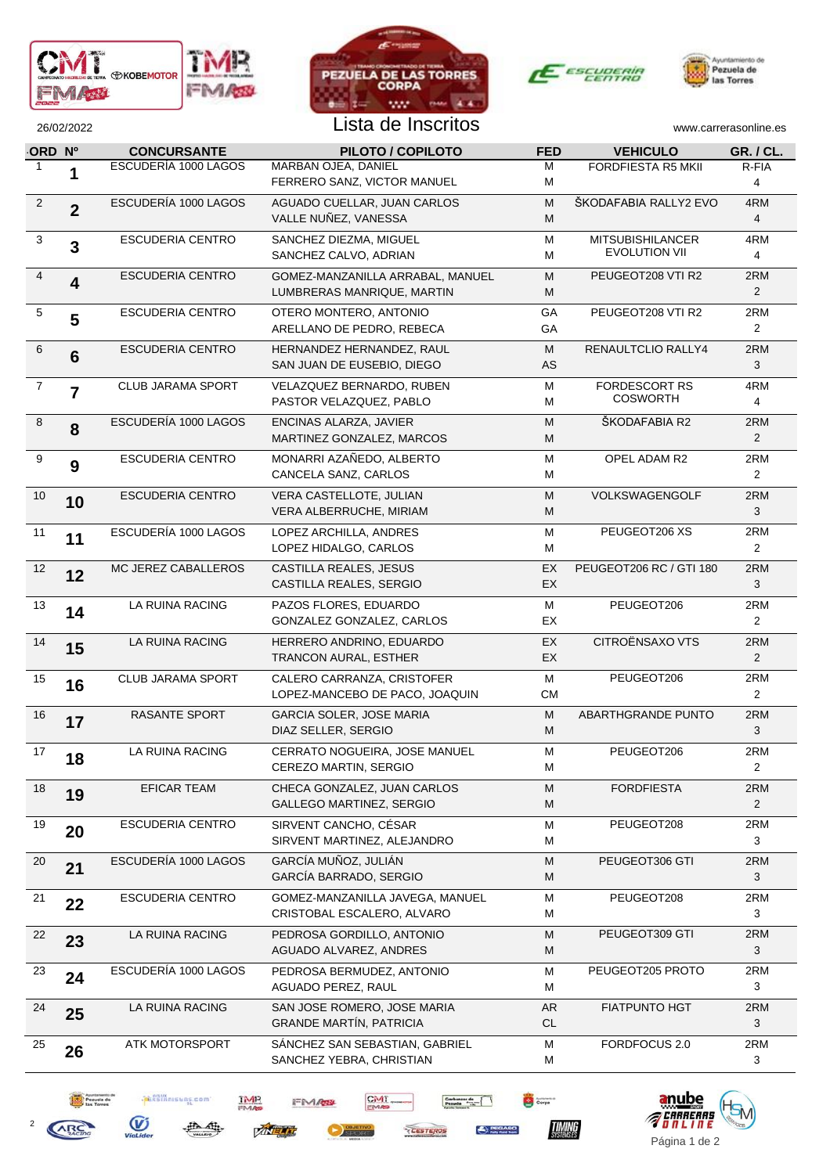







2

**ARC** 

Peguela de

**PERSIANISERS.com** 

曲

母

 $\overline{\mathbf{y}}$ ViaLide

**TMP** 

**ZINELIT** 

FM/02

CMT

Corpa

 $\fbox{\parbox{1.5cm} {\begin{picture}(10,10) \put(0,0){\vector(1,0){10}} \put(0,0){\vector(0,1){10}} \put(1,0){\vector(0,1){10}} \put(1,0){\vector(0,1){10}} \put(1,0){\vector(0,1){10}} \put(1,0){\vector(0,1){10}} \put(1,0){\vector(0,1){10}} \put(1,0){\vector(0,1){10}} \put(1,0){\vector(0,1){10}} \put(1,0){\vector(0,1){10}} \put(1,0){\vector(0,1){10}} \put(1,0){\vector(0$ 

CESTEROS

**SPEGARO** 

## 26/02/2022 Lista de Inscritos [www.carrerasonline.es](http://www.carrerasonline.es/)

| ORD Nº         |                | <b>CONCURSANTE</b>       | PILOTO / COPILOTO                                              | <b>FED</b>      | <b>VEHICULO</b>                                 | <b>GR. / CL.</b>      |
|----------------|----------------|--------------------------|----------------------------------------------------------------|-----------------|-------------------------------------------------|-----------------------|
| $\mathbf{1}$   |                | ESCUDERÍA 1000 LAGOS     | MARBAN OJEA, DANIEL<br>FERRERO SANZ, VICTOR MANUEL             | м<br>м          | FORDFIESTA R5 MKII                              | R-FIA<br>4            |
| $\overline{c}$ | $\overline{2}$ | ESCUDERÍA 1000 LAGOS     | AGUADO CUELLAR, JUAN CARLOS<br>VALLE NUÑEZ, VANESSA            | M<br>М          | ŠKODAFABIA RALLY2 EVO                           | 4RM<br>4              |
| 3              | 3              | <b>ESCUDERIA CENTRO</b>  | SANCHEZ DIEZMA, MIGUEL<br>SANCHEZ CALVO, ADRIAN                | м<br>м          | <b>MITSUBISHILANCER</b><br><b>EVOLUTION VII</b> | 4RM<br>4              |
| $\overline{4}$ | 4              | <b>ESCUDERIA CENTRO</b>  | GOMEZ-MANZANILLA ARRABAL, MANUEL<br>LUMBRERAS MANRIQUE, MARTIN | M<br>M          | PEUGEOT208 VTI R2                               | 2RM<br>$\overline{2}$ |
| 5              | 5              | <b>ESCUDERIA CENTRO</b>  | OTERO MONTERO, ANTONIO<br>ARELLANO DE PEDRO, REBECA            | GA<br>GA        | PEUGEOT208 VTI R2                               | 2RM<br>$\overline{2}$ |
| 6              | 6              | ESCUDERIA CENTRO         | HERNANDEZ HERNANDEZ, RAUL<br>SAN JUAN DE EUSEBIO, DIEGO        | М<br>AS         | RENAULTCLIO RALLY4                              | 2RM<br>3              |
| $\overline{7}$ | $\overline{7}$ | <b>CLUB JARAMA SPORT</b> | VELAZQUEZ BERNARDO, RUBEN<br>PASTOR VELAZQUEZ, PABLO           | M<br>м          | <b>FORDESCORT RS</b><br><b>COSWORTH</b>         | 4RM<br>4              |
| 8              | 8              | ESCUDERÍA 1000 LAGOS     | ENCINAS ALARZA, JAVIER<br>MARTINEZ GONZALEZ, MARCOS            | M<br>M          | ŠKODAFABIA R2                                   | 2RM<br>$\overline{2}$ |
| 9              | 9              | <b>ESCUDERIA CENTRO</b>  | MONARRI AZAÑEDO, ALBERTO<br>CANCELA SANZ, CARLOS               | M<br>м          | OPEL ADAM R2                                    | 2RM<br>$\overline{2}$ |
| 10             | 10             | <b>ESCUDERIA CENTRO</b>  | VERA CASTELLOTE, JULIAN<br>VERA ALBERRUCHE, MIRIAM             | М<br>M          | VOLKSWAGENGOLF                                  | 2RM<br>3              |
| 11             | 11             | ESCUDERÍA 1000 LAGOS     | LOPEZ ARCHILLA, ANDRES<br>LOPEZ HIDALGO, CARLOS                | м<br>м          | PEUGEOT206 XS                                   | 2RM<br>$\overline{2}$ |
| 12             | 12             | MC JEREZ CABALLEROS      | CASTILLA REALES, JESUS<br>CASTILLA REALES, SERGIO              | EX<br>EX        | PEUGEOT206 RC / GTI 180                         | 2RM<br>3              |
| 13             | 14             | LA RUINA RACING          | PAZOS FLORES, EDUARDO<br>GONZALEZ GONZALEZ, CARLOS             | M<br>EX         | PEUGEOT206                                      | 2RM<br>$\overline{2}$ |
| 14             | 15             | LA RUINA RACING          | HERRERO ANDRINO, EDUARDO<br>TRANCON AURAL, ESTHER              | EX<br>EX        | CITROËNSAXO VTS                                 | 2RM<br>$\overline{2}$ |
| 15             | 16             | <b>CLUB JARAMA SPORT</b> | CALERO CARRANZA, CRISTOFER<br>LOPEZ-MANCEBO DE PACO, JOAQUIN   | M<br><b>CM</b>  | PEUGEOT206                                      | 2RM<br>$\overline{2}$ |
| 16             | 17             | <b>RASANTE SPORT</b>     | <b>GARCIA SOLER, JOSE MARIA</b><br>DIAZ SELLER, SERGIO         | М<br>М          | ABARTHGRANDE PUNTO                              | 2RM<br>3              |
| 17             | 18             | LA RUINA RACING          | CERRATO NOGUEIRA, JOSE MANUEL<br>CEREZO MARTIN, SERGIO         | м<br>м          | PEUGEOT206                                      | 2RM<br>$\overline{2}$ |
| 18             | 19             | <b>EFICAR TEAM</b>       | CHECA GONZALEZ, JUAN CARLOS<br>GALLEGO MARTINEZ, SERGIO        | M<br>M          | <b>FORDFIESTA</b>                               | 2RM<br>$\overline{2}$ |
| 19             | 20             | <b>ESCUDERIA CENTRO</b>  | SIRVENT CANCHO, CÉSAR<br>SIRVENT MARTINEZ, ALEJANDRO           | M<br>м          | PEUGEOT208                                      | 2RM<br>3              |
| 20             | 21             | ESCUDERÍA 1000 LAGOS     | GARCÍA MUÑOZ, JULIÁN<br>GARCÍA BARRADO, SERGIO                 | M<br>М          | PEUGEOT306 GTI                                  | 2RM<br>3              |
| 21             | 22             | <b>ESCUDERIA CENTRO</b>  | GOMEZ-MANZANILLA JAVEGA, MANUEL<br>CRISTOBAL ESCALERO, ALVARO  | M<br>M          | PEUGEOT208                                      | 2RM<br>3              |
| 22             | 23             | LA RUINA RACING          | PEDROSA GORDILLO, ANTONIO<br>AGUADO ALVAREZ, ANDRES            | M<br>M          | PEUGEOT309 GTI                                  | 2RM<br>3              |
| 23             | 24             | ESCUDERÍA 1000 LAGOS     | PEDROSA BERMUDEZ, ANTONIO<br>AGUADO PEREZ, RAUL                | M<br>м          | PEUGEOT205 PROTO                                | 2RM<br>3              |
| 24             | 25             | LA RUINA RACING          | SAN JOSE ROMERO, JOSE MARIA<br><b>GRANDE MARTÍN, PATRICIA</b>  | AR<br><b>CL</b> | <b>FIATPUNTO HGT</b>                            | $2\mathsf{RM}$<br>3   |
| 25             | 26             | ATK MOTORSPORT           | SÁNCHEZ SAN SEBASTIAN, GABRIEL<br>SANCHEZ YEBRA, CHRISTIAN     | M<br>м          | FORDFOCUS 2.0                                   | 2RM<br>3              |
|                |                |                          |                                                                |                 |                                                 |                       |